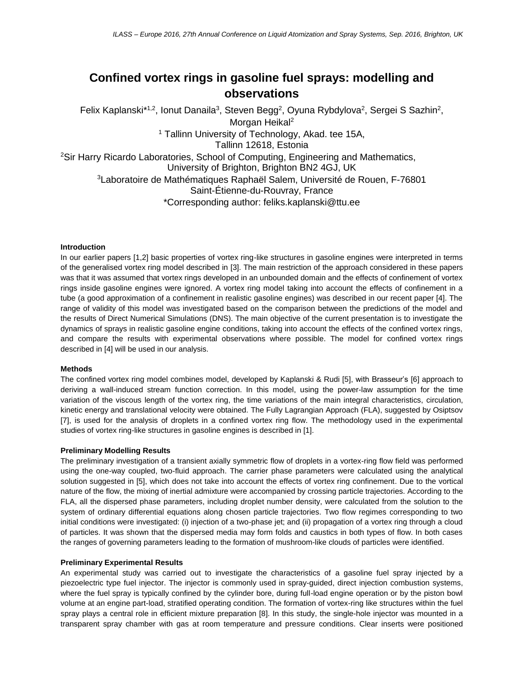# **Confined vortex rings in gasoline fuel sprays: modelling and observations**

Felix Kaplanski<sup>\*1,2</sup>, Ionut Danaila<sup>3</sup>, Steven Begg<sup>2</sup>, Oyuna Rybdylova<sup>2</sup>, Sergei S Sazhin<sup>2</sup>, Morgan Heikal<sup>2</sup> <sup>1</sup> Tallinn University of Technology, Akad. tee 15A, Tallinn 12618, Estonia <sup>2</sup>Sir Harry Ricardo Laboratories, School of Computing, Engineering and Mathematics, University of Brighton, Brighton BN2 4GJ, UK <sup>3</sup>Laboratoire de Mathématiques Raphaël Salem, Université de Rouen, F-76801 Saint-Étienne-du-Rouvray, France \*Corresponding author: feliks.kaplanski@ttu.ee

#### **Introduction**

In our earlier papers [1,2] basic properties of vortex ring-like structures in gasoline engines were interpreted in terms of the generalised vortex ring model described in [3]. The main restriction of the approach considered in these papers was that it was assumed that vortex rings developed in an unbounded domain and the effects of confinement of vortex rings inside gasoline engines were ignored. A vortex ring model taking into account the effects of confinement in a tube (a good approximation of a confinement in realistic gasoline engines) was described in our recent paper [4]. The range of validity of this model was investigated based on the comparison between the predictions of the model and the results of Direct Numerical Simulations (DNS). The main objective of the current presentation is to investigate the dynamics of sprays in realistic gasoline engine conditions, taking into account the effects of the confined vortex rings, and compare the results with experimental observations where possible. The model for confined vortex rings described in [4] will be used in our analysis.

## **Methods**

The confined vortex ring model combines model, developed by Kaplanski & Rudi [5], with Brasseur's [6] approach to deriving a wall-induced stream function correction. In this model, using the power-law assumption for the time variation of the viscous length of the vortex ring, the time variations of the main integral characteristics, circulation, kinetic energy and translational velocity were obtained. The Fully Lagrangian Approach (FLA), suggested by Osiptsov [7], is used for the analysis of droplets in a confined vortex ring flow. The methodology used in the experimental studies of vortex ring-like structures in gasoline engines is described in [1].

### **Preliminary Modelling Results**

The preliminary investigation of a transient axially symmetric flow of droplets in a vortex-ring flow field was performed using the one-way coupled, two-fluid approach. The carrier phase parameters were calculated using the analytical solution suggested in [5], which does not take into account the effects of vortex ring confinement. Due to the vortical nature of the flow, the mixing of inertial admixture were accompanied by crossing particle trajectories. According to the FLA, all the dispersed phase parameters, including droplet number density, were calculated from the solution to the system of ordinary differential equations along chosen particle trajectories. Two flow regimes corresponding to two initial conditions were investigated: (i) injection of a two-phase jet; and (ii) propagation of a vortex ring through a cloud of particles. It was shown that the dispersed media may form folds and caustics in both types of flow. In both cases the ranges of governing parameters leading to the formation of mushroom-like clouds of particles were identified.

#### **Preliminary Experimental Results**

An experimental study was carried out to investigate the characteristics of a gasoline fuel spray injected by a piezoelectric type fuel injector. The injector is commonly used in spray-guided, direct injection combustion systems, where the fuel spray is typically confined by the cylinder bore, during full-load engine operation or by the piston bowl volume at an engine part-load, stratified operating condition. The formation of vortex-ring like structures within the fuel spray plays a central role in efficient mixture preparation [8]. In this study, the single-hole injector was mounted in a transparent spray chamber with gas at room temperature and pressure conditions. Clear inserts were positioned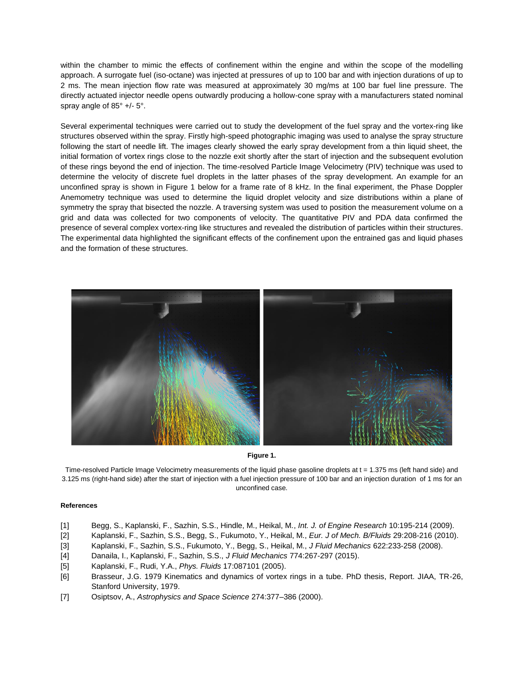within the chamber to mimic the effects of confinement within the engine and within the scope of the modelling approach. A surrogate fuel (iso-octane) was injected at pressures of up to 100 bar and with injection durations of up to 2 ms. The mean injection flow rate was measured at approximately 30 mg/ms at 100 bar fuel line pressure. The directly actuated injector needle opens outwardly producing a hollow-cone spray with a manufacturers stated nominal spray angle of 85° +/- 5°.

Several experimental techniques were carried out to study the development of the fuel spray and the vortex-ring like structures observed within the spray. Firstly high-speed photographic imaging was used to analyse the spray structure following the start of needle lift. The images clearly showed the early spray development from a thin liquid sheet, the initial formation of vortex rings close to the nozzle exit shortly after the start of injection and the subsequent evolution of these rings beyond the end of injection. The time-resolved Particle Image Velocimetry (PIV) technique was used to determine the velocity of discrete fuel droplets in the latter phases of the spray development. An example for an unconfined spray is shown in Figure 1 below for a frame rate of 8 kHz. In the final experiment, the Phase Doppler Anemometry technique was used to determine the liquid droplet velocity and size distributions within a plane of symmetry the spray that bisected the nozzle. A traversing system was used to position the measurement volume on a grid and data was collected for two components of velocity. The quantitative PIV and PDA data confirmed the presence of several complex vortex-ring like structures and revealed the distribution of particles within their structures. The experimental data highlighted the significant effects of the confinement upon the entrained gas and liquid phases and the formation of these structures.



**Figure 1.**

Time-resolved Particle Image Velocimetry measurements of the liquid phase gasoline droplets at t = 1.375 ms (left hand side) and 3.125 ms (right-hand side) after the start of injection with a fuel injection pressure of 100 bar and an injection duration of 1 ms for an unconfined case.

## **References**

- [1] Begg, S., Kaplanski, F., Sazhin, S.S., Hindle, M., Heikal, M., *Int. J. of Engine Research* 10:195-214 (2009).
- [2] Kaplanski, F., Sazhin, S.S., Begg, S., Fukumoto, Y., Heikal, M., *Eur. J of Mech. B/Fluids* 29:208-216 (2010).
- [3] Kaplanski, F., Sazhin, S.S., Fukumoto, Y., Begg, S., Heikal, M., *J Fluid Mechanics* 622:233-258 (2008).
- [4] Danaila, I., Kaplanski, F., Sazhin, S.S., *J Fluid Mechanics* 774:267-297 (2015).
- [5] Kaplanski, F., Rudi, Y.A., *Phys. Fluids* 17:087101 (2005).
- [6] Brasseur, J.G. 1979 Kinematics and dynamics of vortex rings in a tube. PhD thesis, Report. JIAA, TR-26, Stanford University, 1979.
- [7] Osiptsov, A., *Astrophysics and Space Science* 274:377–386 (2000).